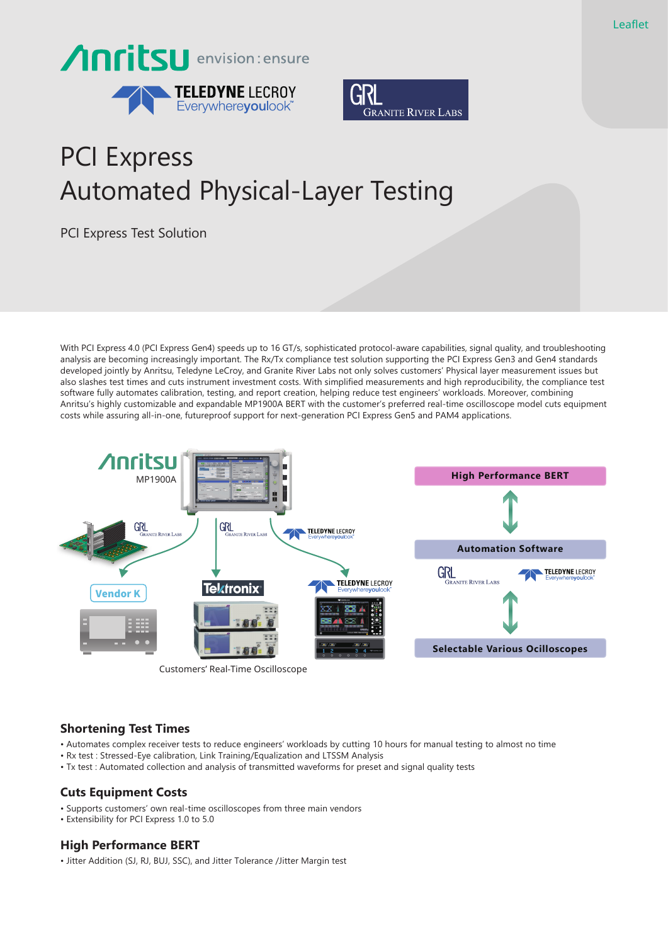



# PCI Express Automated Physical-Layer Testing

PCI Express Test Solution

With PCI Express 4.0 (PCI Express Gen4) speeds up to 16 GT/s, sophisticated protocol-aware capabilities, signal quality, and troubleshooting analysis are becoming increasingly important. The Rx/Tx compliance test solution supporting the PCI Express Gen3 and Gen4 standards developed jointly by Anritsu, Teledyne LeCroy, and Granite River Labs not only solves customers' Physical layer measurement issues but also slashes test times and cuts instrument investment costs. With simplified measurements and high reproducibility, the compliance test software fully automates calibration, testing, and report creation, helping reduce test engineers' workloads. Moreover, combining Anritsu's highly customizable and expandable MP1900A BERT with the customer's preferred real-time oscilloscope model cuts equipment costs while assuring all-in-one, futureproof support for next-generation PCI Express Gen5 and PAM4 applications.



# **Shortening Test Times**

- Automates complex receiver tests to reduce engineers' workloads by cutting 10 hours for manual testing to almost no time
- Rx test : Stressed-Eye calibration, Link Training/Equalization and LTSSM Analysis
- Tx test : Automated collection and analysis of transmitted waveforms for preset and signal quality tests

# **Cuts Equipment Costs**

- Supports customers' own real-time oscilloscopes from three main vendors
- Extensibility for PCI Express 1.0 to 5.0

# **High Performance BERT**

• Jitter Addition (SJ, RJ, BUJ, SSC), and Jitter Tolerance /Jitter Margin test